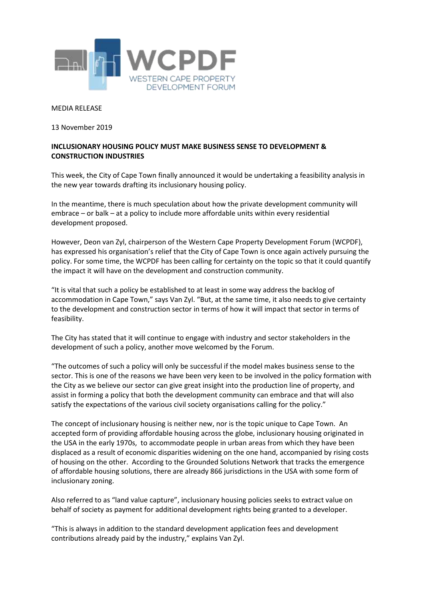

## MEDIA RELEASE

13 November 2019

## **INCLUSIONARY HOUSING POLICY MUST MAKE BUSINESS SENSE TO DEVELOPMENT & CONSTRUCTION INDUSTRIES**

This week, the City of Cape Town finally announced it would be undertaking a feasibility analysis in the new year towards drafting its inclusionary housing policy.

In the meantime, there is much speculation about how the private development community will embrace – or balk – at a policy to include more affordable units within every residential development proposed.

However, Deon van Zyl, chairperson of the Western Cape Property Development Forum (WCPDF), has expressed his organisation's relief that the City of Cape Town is once again actively pursuing the policy. For some time, the WCPDF has been calling for certainty on the topic so that it could quantify the impact it will have on the development and construction community.

"It is vital that such a policy be established to at least in some way address the backlog of accommodation in Cape Town," says Van Zyl. "But, at the same time, it also needs to give certainty to the development and construction sector in terms of how it will impact that sector in terms of feasibility.

The City has stated that it will continue to engage with industry and sector stakeholders in the development of such a policy, another move welcomed by the Forum.

"The outcomes of such a policy will only be successful if the model makes business sense to the sector. This is one of the reasons we have been very keen to be involved in the policy formation with the City as we believe our sector can give great insight into the production line of property, and assist in forming a policy that both the development community can embrace and that will also satisfy the expectations of the various civil society organisations calling for the policy."

The concept of inclusionary housing is neither new, nor is the topic unique to Cape Town. An accepted form of providing affordable housing across the globe, inclusionary housing originated in the USA in the early 1970s, to accommodate people in urban areas from which they have been displaced as a result of economic disparities widening on the one hand, accompanied by rising costs of housing on the other. According to the Grounded Solutions Network that tracks the emergence of affordable housing solutions, there are already 866 jurisdictions in the USA with some form of inclusionary zoning.

Also referred to as "land value capture", inclusionary housing policies seeks to extract value on behalf of society as payment for additional development rights being granted to a developer.

"This is always in addition to the standard development application fees and development contributions already paid by the industry," explains Van Zyl.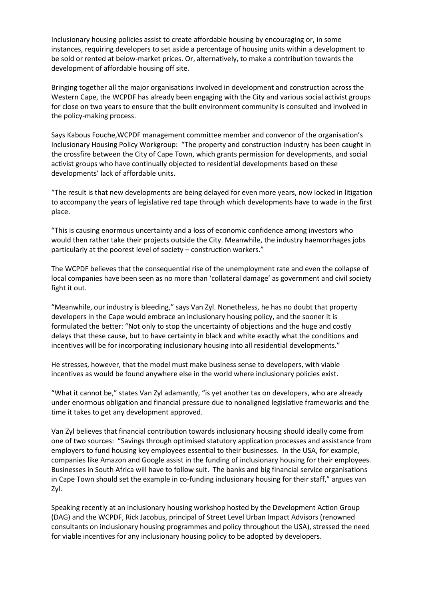Inclusionary housing policies assist to create affordable housing by encouraging or, in some instances, requiring developers to set aside a percentage of housing units within a development to be sold or rented at below-market prices. Or, alternatively, to make a contribution towards the development of affordable housing off site.

Bringing together all the major organisations involved in development and construction across the Western Cape, the WCPDF has already been engaging with the City and various social activist groups for close on two years to ensure that the built environment community is consulted and involved in the policy-making process.

Says Kabous Fouche,WCPDF management committee member and convenor of the organisation's Inclusionary Housing Policy Workgroup: "The property and construction industry has been caught in the crossfire between the City of Cape Town, which grants permission for developments, and social activist groups who have continually objected to residential developments based on these developments' lack of affordable units.

"The result is that new developments are being delayed for even more years, now locked in litigation to accompany the years of legislative red tape through which developments have to wade in the first place.

"This is causing enormous uncertainty and a loss of economic confidence among investors who would then rather take their projects outside the City. Meanwhile, the industry haemorrhages jobs particularly at the poorest level of society – construction workers."

The WCPDF believes that the consequential rise of the unemployment rate and even the collapse of local companies have been seen as no more than 'collateral damage' as government and civil society fight it out.

"Meanwhile, our industry is bleeding," says Van Zyl. Nonetheless, he has no doubt that property developers in the Cape would embrace an inclusionary housing policy, and the sooner it is formulated the better: "Not only to stop the uncertainty of objections and the huge and costly delays that these cause, but to have certainty in black and white exactly what the conditions and incentives will be for incorporating inclusionary housing into all residential developments."

He stresses, however, that the model must make business sense to developers, with viable incentives as would be found anywhere else in the world where inclusionary policies exist.

"What it cannot be," states Van Zyl adamantly, "is yet another tax on developers, who are already under enormous obligation and financial pressure due to nonaligned legislative frameworks and the time it takes to get any development approved.

Van Zyl believes that financial contribution towards inclusionary housing should ideally come from one of two sources: "Savings through optimised statutory application processes and assistance from employers to fund housing key employees essential to their businesses. In the USA, for example, companies like Amazon and Google assist in the funding of inclusionary housing for their employees. Businesses in South Africa will have to follow suit. The banks and big financial service organisations in Cape Town should set the example in co-funding inclusionary housing for their staff," argues van Zyl.

Speaking recently at an inclusionary housing workshop hosted by the Development Action Group (DAG) and the WCPDF, Rick Jacobus, principal of Street Level Urban Impact Advisors (renowned consultants on inclusionary housing programmes and policy throughout the USA), stressed the need for viable incentives for any inclusionary housing policy to be adopted by developers.